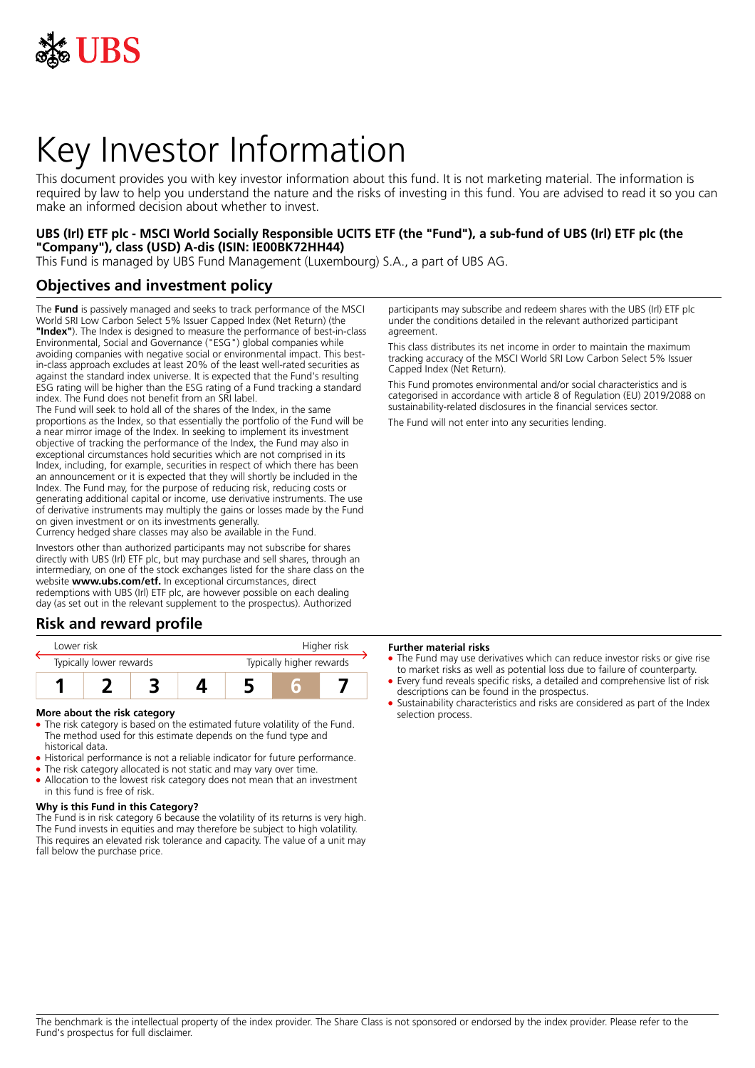

# Key Investor Information

This document provides you with key investor information about this fund. It is not marketing material. The information is required by law to help you understand the nature and the risks of investing in this fund. You are advised to read it so you can make an informed decision about whether to invest.

### **UBS (Irl) ETF plc - MSCI World Socially Responsible UCITS ETF (the "Fund"), a sub-fund of UBS (Irl) ETF plc (the "Company"), class (USD) A-dis (ISIN: IE00BK72HH44)**

This Fund is managed by UBS Fund Management (Luxembourg) S.A., a part of UBS AG.

## **Objectives and investment policy**

The **Fund** is passively managed and seeks to track performance of the MSCI World SRI Low Carbon Select 5% Issuer Capped Index (Net Return) (the **"Index"**). The Index is designed to measure the performance of best-in-class Environmental, Social and Governance ("ESG") global companies while avoiding companies with negative social or environmental impact. This bestin-class approach excludes at least 20% of the least well-rated securities as against the standard index universe. It is expected that the Fund's resulting ESG rating will be higher than the ESG rating of a Fund tracking a standard index. The Fund does not benefit from an SRI label.

The Fund will seek to hold all of the shares of the Index, in the same proportions as the Index, so that essentially the portfolio of the Fund will be a near mirror image of the Index. In seeking to implement its investment objective of tracking the performance of the Index, the Fund may also in exceptional circumstances hold securities which are not comprised in its Index, including, for example, securities in respect of which there has been an announcement or it is expected that they will shortly be included in the Index. The Fund may, for the purpose of reducing risk, reducing costs or generating additional capital or income, use derivative instruments. The use of derivative instruments may multiply the gains or losses made by the Fund on given investment or on its investments generally.

Currency hedged share classes may also be available in the Fund.

Investors other than authorized participants may not subscribe for shares directly with UBS (Irl) ETF plc, but may purchase and sell shares, through an intermediary, on one of the stock exchanges listed for the share class on the website **www.ubs.com/etf.** In exceptional circumstances, direct redemptions with UBS (Irl) ETF plc, are however possible on each dealing day (as set out in the relevant supplement to the prospectus). Authorized

## **Risk and reward profile**

| Lower risk              |  |  |  | Higher risk              |  |  |
|-------------------------|--|--|--|--------------------------|--|--|
| Typically lower rewards |  |  |  | Typically higher rewards |  |  |
|                         |  |  |  |                          |  |  |

#### **More about the risk category**

- The risk category is based on the estimated future volatility of the Fund. The method used for this estimate depends on the fund type and historical data.
- Historical performance is not a reliable indicator for future performance.
- The risk category allocated is not static and may vary over time. • Allocation to the lowest risk category does not mean that an investment in this fund is free of risk.

#### **Why is this Fund in this Category?**

The Fund is in risk category 6 because the volatility of its returns is very high. The Fund invests in equities and may therefore be subject to high volatility. This requires an elevated risk tolerance and capacity. The value of a unit may fall below the purchase price.

participants may subscribe and redeem shares with the UBS (Irl) ETF plc under the conditions detailed in the relevant authorized participant agreement.

This class distributes its net income in order to maintain the maximum tracking accuracy of the MSCI World SRI Low Carbon Select 5% Issuer Capped Index (Net Return).

This Fund promotes environmental and/or social characteristics and is categorised in accordance with article 8 of Regulation (EU) 2019/2088 on sustainability‐related disclosures in the financial services sector.

The Fund will not enter into any securities lending.

#### **Further material risks**

- The Fund may use derivatives which can reduce investor risks or give rise to market risks as well as potential loss due to failure of counterparty.
- 5 Every fund reveals specific risks, a detailed and comprehensive list of risk descriptions can be found in the prospectus.
- 5 Sustainability characteristics and risks are considered as part of the Index selection process.